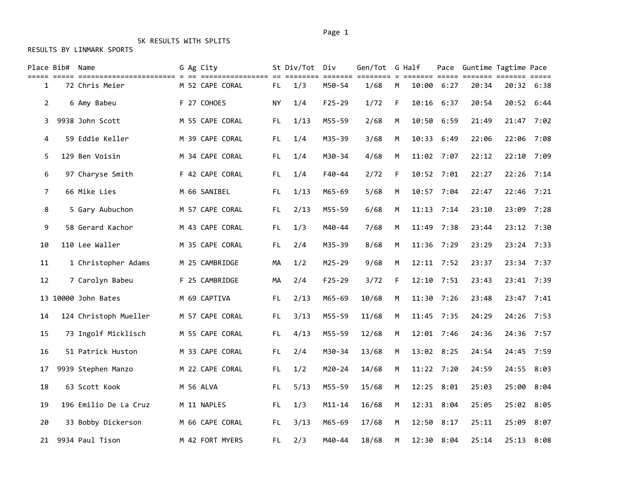# 5K RESULTS WITH SPLITS

|                | Place Bib# Name |                       | G Ag City       |     | St Div/Tot Div |            | Gen/Tot G Half             |   |       |              | Pace Guntime Tagtime Pace              |       | $=$ $=$ $=$ $=$ $=$ |
|----------------|-----------------|-----------------------|-----------------|-----|----------------|------------|----------------------------|---|-------|--------------|----------------------------------------|-------|---------------------|
| 1              |                 | 72 Chris Meier        | M 52 CAPE CORAL | FL. | 1/3            | M50-54     | ======= ======== =<br>1/68 | M |       | 10:00 6:27   | ======= ===== ======= =======<br>20:34 |       | 20:32 6:38          |
| $\overline{2}$ |                 | 6 Amy Babeu           | F 27 COHOES     | NY. | 1/4            | $F25 - 29$ | 1/72                       | F |       | 10:16 6:37   | 20:54                                  |       | 20:52 6:44          |
| 3              |                 | 9938 John Scott       | M 55 CAPE CORAL | FL. | 1/13           | M55-59     | 2/68                       | M |       | 10:50 6:59   | 21:49                                  |       | 21:47 7:02          |
| 4              |                 | 59 Eddie Keller       | M 39 CAPE CORAL | FL. | 1/4            | M35-39     | 3/68                       | M | 10:33 | 6:49         | 22:06                                  | 22:06 | 7:08                |
| 5              |                 | 129 Ben Voisin        | M 34 CAPE CORAL | FL. | 1/4            | M30-34     | 4/68                       | M |       | 11:02 7:07   | 22:12                                  |       | 22:10 7:09          |
| 6              |                 | 97 Charyse Smith      | F 42 CAPE CORAL | FL. | 1/4            | F40-44     | 2/72                       | F |       | 10:52 7:01   | 22:27                                  |       | 22:26 7:14          |
| 7              |                 | 66 Mike Lies          | M 66 SANIBEL    | FL. | 1/13           | M65-69     | 5/68                       | M |       | 10:57 7:04   | 22:47                                  |       | 22:46 7:21          |
| 8              |                 | 5 Gary Aubuchon       | M 57 CAPE CORAL | FL. | 2/13           | M55-59     | 6/68                       | M |       | 11:13 7:14   | 23:10                                  | 23:09 | 7:28                |
| 9              |                 | 58 Gerard Kachor      | M 43 CAPE CORAL | FL. | 1/3            | M40-44     | 7/68                       | M |       | 11:49 7:38   | 23:44                                  |       | 23:12 7:30          |
| 10             |                 | 110 Lee Waller        | M 35 CAPE CORAL | FL. | 2/4            | M35-39     | 8/68                       | M |       | 11:36 7:29   | 23:29                                  |       | 23:24 7:33          |
| 11             |                 | 1 Christopher Adams   | M 25 CAMBRIDGE  | MA  | 1/2            | $M25 - 29$ | 9/68                       | M |       | $12:11$ 7:52 | 23:37                                  |       | 23:34 7:37          |
| 12             |                 | 7 Carolyn Babeu       | F 25 CAMBRIDGE  | MA  | 2/4            | $F25 - 29$ | 3/72                       | F | 12:10 | 7:51         | 23:43                                  |       | 23:41 7:39          |
|                |                 | 13 10000 John Bates   | M 69 CAPTIVA    | FL. | 2/13           | M65-69     | 10/68                      | M | 11:30 | 7:26         | 23:48                                  | 23:47 | 7:41                |
| 14             |                 | 124 Christoph Mueller | M 57 CAPE CORAL | FL. | 3/13           | M55-59     | 11/68                      | M |       | 11:45 7:35   | 24:29                                  |       | 24:26 7:53          |
| 15             |                 | 73 Ingolf Micklisch   | M 55 CAPE CORAL | FL. | 4/13           | M55-59     | 12/68                      | M |       | 12:01 7:46   | 24:36                                  |       | 24:36 7:57          |
| 16             |                 | 51 Patrick Huston     | M 33 CAPE CORAL | FL. | 2/4            | M30-34     | 13/68                      | M |       | 13:02 8:25   | 24:54                                  | 24:45 | 7:59                |
| 17             |                 | 9939 Stephen Manzo    | M 22 CAPE CORAL | FL. | 1/2            | M20-24     | 14/68                      | M |       | 11:22 7:20   | 24:59                                  | 24:55 | 8:03                |
| 18             |                 | 63 Scott Kook         | M 56 ALVA       | FL. | 5/13           | M55-59     | 15/68                      | M |       | 12:25 8:01   | 25:03                                  | 25:00 | 8:04                |
| 19             |                 | 196 Emilio De La Cruz | M 11 NAPLES     | FL. | 1/3            | $M11 - 14$ | 16/68                      | M |       | 12:31 8:04   | 25:05                                  |       | 25:02 8:05          |
| 20             |                 | 33 Bobby Dickerson    | M 66 CAPE CORAL | FL. | 3/13           | M65-69     | 17/68                      | M | 12:50 | 8:17         | 25:11                                  |       | 25:09 8:07          |
|                |                 | 21 9934 Paul Tison    | M 42 FORT MYERS | FL. | 2/3            | M40-44     | 18/68                      | M |       | 12:30 8:04   | 25:14                                  |       | 25:13 8:08          |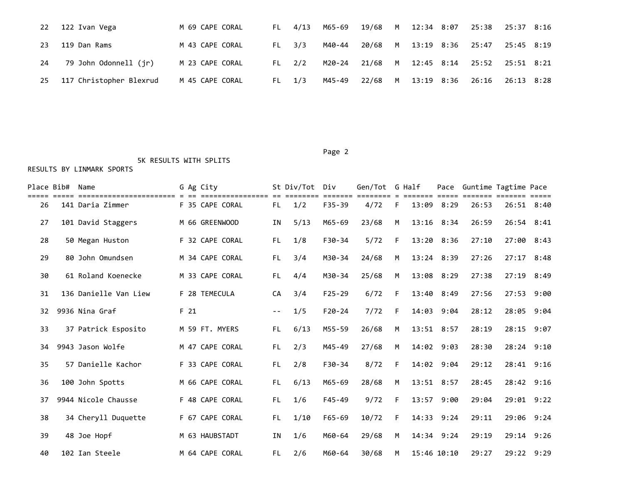| 22  | 122 Ivan Vega           | M 69 CAPE CORAL | FL 4/13    | M65-69 19/68 M 12:34 8:07 25:38 25:37 8:16 |         |  |                             |  |
|-----|-------------------------|-----------------|------------|--------------------------------------------|---------|--|-----------------------------|--|
| 23  | 119 Dan Rams            | M 43 CAPE CORAL | $FL = 3/3$ | M40-44                                     | 20/68 M |  | 13:19 8:36 25:47 25:45 8:19 |  |
| 24  | 79 John Odonnell (jr)   | M 23 CAPE CORAL | $FL = 2/2$ | M20-24 21/68 M 12:45 8:14 25:52 25:51 8:21 |         |  |                             |  |
| -25 | 117 Christopher Blexrud | M 45 CAPE CORAL | $FL = 1/3$ | M45-49                                     | 22/68 M |  | 13:19 8:36 26:16 26:13 8:28 |  |

#### Page 2

5K RESULTS WITH SPLITS

| Place Bib# | Name                                         |                 | G Ag City       |       | St Div/Tot | Div<br>------- | Gen/Tot G Half |    |                | Pace       |       | Guntime Tagtime Pace |      |
|------------|----------------------------------------------|-----------------|-----------------|-------|------------|----------------|----------------|----|----------------|------------|-------|----------------------|------|
| 26         | ==================== = ;<br>141 Daria Zimmer |                 | F 35 CAPE CORAL | FL.   | 1/2        | $F35 - 39$     | 4/72           | F  | 13:09          | 8:29       | 26:53 | 26:51 8:40           |      |
| 27         | 101 David Staggers                           |                 | M 66 GREENWOOD  | ΙN    | 5/13       | M65-69         | 23/68          | M  | 13:16 8:34     |            | 26:59 | 26:54 8:41           |      |
| 28         | 50 Megan Huston                              |                 | F 32 CAPE CORAL | FL.   | 1/8        | $F30-34$       | 5/72           | F  | 13:20 8:36     |            | 27:10 | 27:00 8:43           |      |
| 29         | 80 John Omundsen                             |                 | M 34 CAPE CORAL | FL.   | 3/4        | M30-34         | 24/68          | M  | $13:24$ $8:39$ |            | 27:26 | $27:17$ 8:48         |      |
| 30         | 61 Roland Koenecke                           |                 | M 33 CAPE CORAL | FL.   | 4/4        | M30-34         | 25/68          | M  | 13:08 8:29     |            | 27:38 | 27:19 8:49           |      |
| 31         | 136 Danielle Van Liew                        |                 | F 28 TEMECULA   | CA    | 3/4        | $F25-29$       | 6/72           | F  | 13:40 8:49     |            | 27:56 | 27:53 9:00           |      |
| 32         | 9936 Nina Graf                               | F <sub>21</sub> |                 | $- -$ | 1/5        | $F20-24$       | 7/72           | F  | 14:03          | 9:04       | 28:12 | 28:05                | 9:04 |
| 33         | 37 Patrick Esposito                          |                 | M 59 FT. MYERS  | FL.   | 6/13       | M55-59         | 26/68          | M  | 13:51 8:57     |            | 28:19 | 28:15 9:07           |      |
| 34         | 9943 Jason Wolfe                             |                 | M 47 CAPE CORAL | FL.   | 2/3        | M45-49         | 27/68          | M  | 14:02 9:03     |            | 28:30 | 28:24 9:10           |      |
| 35         | 57 Danielle Kachor                           |                 | F 33 CAPE CORAL | FL.   | 2/8        | $F30-34$       | 8/72           | F. | 14:02 9:04     |            | 29:12 | 28:41 9:16           |      |
| 36         | 100 John Spotts                              |                 | M 66 CAPE CORAL | FL.   | 6/13       | M65-69         | 28/68          | M  | 13:51 8:57     |            | 28:45 | 28:42 9:16           |      |
| 37         | 9944 Nicole Chausse                          |                 | F 48 CAPE CORAL | FL.   | 1/6        | $F45 - 49$     | 9/72           | F  | 13:57          | 9:00       | 29:04 | 29:01 9:22           |      |
| 38         | 34 Cheryll Duquette                          |                 | F 67 CAPE CORAL | FL.   | 1/10       | $F65 - 69$     | 10/72          | F  |                | 14:33 9:24 | 29:11 | 29:06 9:24           |      |
| 39         | 48 Joe Hopf                                  |                 | M 63 HAUBSTADT  | ΙN    | 1/6        | M60-64         | 29/68          | М  |                | 14:34 9:24 | 29:19 | 29:14 9:26           |      |
| 40         | 102 Ian Steele                               |                 | M 64 CAPE CORAL | FL.   | 2/6        | M60-64         | 30/68          | M  | 15:46 10:10    |            | 29:27 | 29:22 9:29           |      |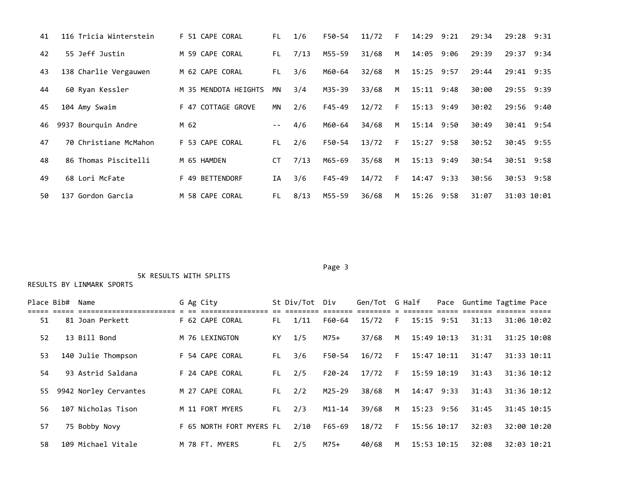| 41 | 116 Tricia Winterstein | F 51 CAPE CORAL      | FL.   | 1/6  | F50-54 | 11/72 | F. | 14:29          | 9:21 | 29:34 | 29:28 9:31  |  |
|----|------------------------|----------------------|-------|------|--------|-------|----|----------------|------|-------|-------------|--|
| 42 | 55 Jeff Justin         | M 59 CAPE CORAL      | FL.   | 7/13 | M55-59 | 31/68 | M  | 14:05 9:06     |      | 29:39 | 29:37 9:34  |  |
| 43 | 138 Charlie Vergauwen  | M 62 CAPE CORAL      | FL.   | 3/6  | M60-64 | 32/68 | M  | $15:25$ 9:57   |      | 29:44 | 29:41 9:35  |  |
| 44 | 60 Ryan Kessler        | M 35 MENDOTA HEIGHTS | ΜN    | 3/4  | M35-39 | 33/68 | M  | $15:11$ $9:48$ |      | 30:00 | 29:55 9:39  |  |
| 45 | 104 Amy Swaim          | F 47 COTTAGE GROVE   | ΜN    | 2/6  | F45-49 | 12/72 | F. | 15:13 9:49     |      | 30:02 | 29:56 9:40  |  |
| 46 | 9937 Bourquin Andre    | M 62                 | $- -$ | 4/6  | M60-64 | 34/68 | M  | $15:14$ $9:50$ |      | 30:49 | 30:41 9:54  |  |
| 47 | 70 Christiane McMahon  | F 53 CAPE CORAL      | FL.   | 2/6  | F50-54 | 13/72 | F. | $15:27$ 9:58   |      | 30:52 | 30:45 9:55  |  |
| 48 | 86 Thomas Piscitelli   | M 65 HAMDEN          | CT.   | 7/13 | M65-69 | 35/68 | M  | $15:13$ $9:49$ |      | 30:54 | 30:51 9:58  |  |
| 49 | 68 Lori McFate         | F 49 BETTENDORF      | IA    | 3/6  | F45-49 | 14/72 | F. | 14:47 9:33     |      | 30:56 | 30:53 9:58  |  |
| 50 | 137 Gordon Garcia      | M 58 CAPE CORAL      | FL.   | 8/13 | M55-59 | 36/68 | M  | $15:26$ 9:58   |      | 31:07 | 31:03 10:01 |  |

Page 3 and 2012 and 2012 and 2012 and 2012 and 2012 and 2012 and 2012 and 2012 and 2012 and 2012 and 2012 and

5K RESULTS WITH SPLITS

| Place Bib# | Name                  |  | G Ag City                |     | St Div/Tot Div |            | Gen/Tot G Half |    |                | Pace Guntime Tagtime Pace |             |             |
|------------|-----------------------|--|--------------------------|-----|----------------|------------|----------------|----|----------------|---------------------------|-------------|-------------|
| 51         | 81 Joan Perkett       |  | F 62 CAPE CORAL          | FL. | 1/11           | F60-64     | 15/72          | F  | $15:15$ $9:51$ | 31:13                     | 31:06 10:02 |             |
| 52         | 13 Bill Bond          |  | M 76 LEXINGTON           | KY. | 1/5            | $M75+$     | 37/68          | M  | 15:49 10:13    | 31:31                     | 31:25 10:08 |             |
| 53         | 140 Julie Thompson    |  | F 54 CAPE CORAL          | FL. | 3/6            | F50-54     | 16/72          | F. | 15:47 10:11    | 31:47                     |             | 31:33 10:11 |
| 54         | 93 Astrid Saldana     |  | F 24 CAPE CORAL          | FL. | 2/5            | $F20-24$   | 17/72          | F. | 15:59 10:19    | 31:43                     | 31:36 10:12 |             |
| 55         | 9942 Norley Cervantes |  | M 27 CAPE CORAL          | FL. | 2/2            | M25-29     | 38/68          | M  | 14:47 9:33     | 31:43                     |             | 31:36 10:12 |
| 56         | 107 Nicholas Tison    |  | M 11 FORT MYERS          | FL. | 2/3            | $M11 - 14$ | 39/68          | M  | $15:23$ 9:56   | 31:45                     | 31:45 10:15 |             |
| 57         | 75 Bobby Novy         |  | F 65 NORTH FORT MYERS FL |     | 2/10           | F65-69     | 18/72          | F. | 15:56 10:17    | 32:03                     | 32:00 10:20 |             |
| 58         | 109 Michael Vitale    |  | M 78 FT. MYERS           | FL. | 2/5            | $M75+$     | 40/68          | M  | 15:53 10:15    | 32:08                     |             | 32:03 10:21 |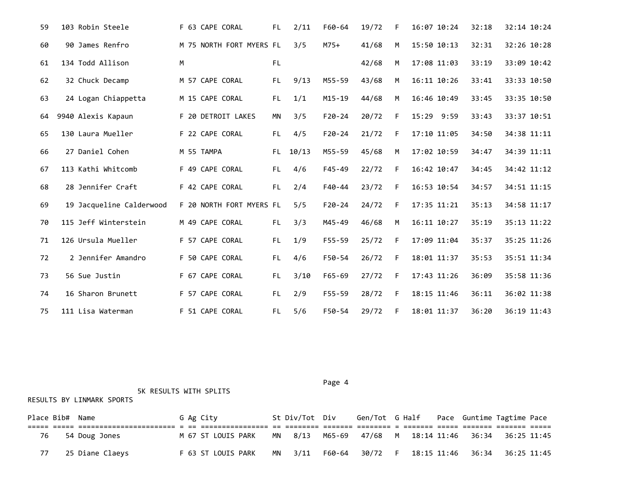| 59 | 103 Robin Steele         | F 63 CAPE CORAL          | FL. | 2/11  | F60-64     | 19/72 | F  | 16:07 10:24 | 32:18 | 32:14 10:24 |
|----|--------------------------|--------------------------|-----|-------|------------|-------|----|-------------|-------|-------------|
| 60 | 90 James Renfro          | M 75 NORTH FORT MYERS FL |     | 3/5   | $M75+$     | 41/68 | M  | 15:50 10:13 | 32:31 | 32:26 10:28 |
| 61 | 134 Todd Allison         | M                        | FL. |       |            | 42/68 | M  | 17:08 11:03 | 33:19 | 33:09 10:42 |
| 62 | 32 Chuck Decamp          | M 57 CAPE CORAL          | FL. | 9/13  | M55-59     | 43/68 | M  | 16:11 10:26 | 33:41 | 33:33 10:50 |
| 63 | 24 Logan Chiappetta      | M 15 CAPE CORAL          | FL. | 1/1   | M15-19     | 44/68 | M  | 16:46 10:49 | 33:45 | 33:35 10:50 |
| 64 | 9940 Alexis Kapaun       | F 20 DETROIT LAKES       | ΜN  | 3/5   | $F20-24$   | 20/72 | F  | 15:29 9:59  | 33:43 | 33:37 10:51 |
| 65 | 130 Laura Mueller        | F 22 CAPE CORAL          | FL. | 4/5   | $F20 - 24$ | 21/72 | F  | 17:10 11:05 | 34:50 | 34:38 11:11 |
| 66 | 27 Daniel Cohen          | M 55 TAMPA               | FL. | 10/13 | M55-59     | 45/68 | M  | 17:02 10:59 | 34:47 | 34:39 11:11 |
| 67 | 113 Kathi Whitcomb       | F 49 CAPE CORAL          | FL. | 4/6   | $F45 - 49$ | 22/72 | F  | 16:42 10:47 | 34:45 | 34:42 11:12 |
| 68 | 28 Jennifer Craft        | F 42 CAPE CORAL          | FL. | 2/4   | F40-44     | 23/72 | F  | 16:53 10:54 | 34:57 | 34:51 11:15 |
| 69 | 19 Jacqueline Calderwood | F 20 NORTH FORT MYERS FL |     | 5/5   | $F20 - 24$ | 24/72 | F. | 17:35 11:21 | 35:13 | 34:58 11:17 |
| 70 | 115 Jeff Winterstein     | M 49 CAPE CORAL          | FL. | 3/3   | M45-49     | 46/68 | M  | 16:11 10:27 | 35:19 | 35:13 11:22 |
| 71 | 126 Ursula Mueller       | F 57 CAPE CORAL          | FL. | 1/9   | $F55 - 59$ | 25/72 | F  | 17:09 11:04 | 35:37 | 35:25 11:26 |
| 72 | 2 Jennifer Amandro       | F 50 CAPE CORAL          | FL. | 4/6   | F50-54     | 26/72 | F  | 18:01 11:37 | 35:53 | 35:51 11:34 |
| 73 | 56 Sue Justin            | F 67 CAPE CORAL          | FL. | 3/10  | F65-69     | 27/72 | F. | 17:43 11:26 | 36:09 | 35:58 11:36 |
| 74 | 16 Sharon Brunett        | F 57 CAPE CORAL          | FL. | 2/9   | $F55 - 59$ | 28/72 | F  | 18:15 11:46 | 36:11 | 36:02 11:38 |
| 75 | 111 Lisa Waterman        | F 51 CAPE CORAL          | FL. | 5/6   | F50-54     | 29/72 | F  | 18:01 11:37 | 36:20 | 36:19 11:43 |

Page 4 and the state of the state of the state of the state of the state of the state of the state of the state of the state of the state of the state of the state of the state of the state of the state of the state of the

5K RESULTS WITH SPLITS

| Place Bib# Name |                 |  | G Ag City |                    |    | St Div/Tot Div |        |  |  | Gen/Tot G Half Pace Guntime Tagtime Pace |
|-----------------|-----------------|--|-----------|--------------------|----|----------------|--------|--|--|------------------------------------------|
| 76              | 54 Doug Jones   |  |           | M 67 ST LOUIS PARK |    | MN 8/13        | M65-69 |  |  | 47/68 M 18:14 11:46 36:34 36:25 11:45    |
|                 | 25 Diane Claeys |  |           | F 63 ST LOUIS PARK | MN | 3/11           | F60-64 |  |  | 30/72 F 18:15 11:46 36:34 36:25 11:45    |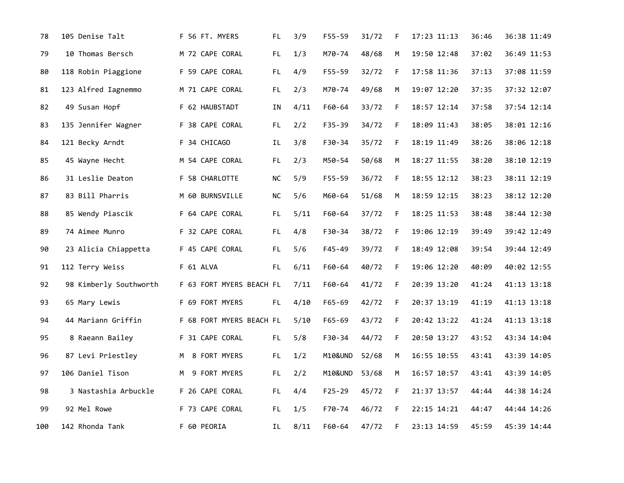| 78  | 105 Denise Talt        | F 56 FT. MYERS           | FL.       | 3/9  | F55-59     | 31/72 | F           | 17:23 11:13 | 36:46 | 36:38 11:49 |
|-----|------------------------|--------------------------|-----------|------|------------|-------|-------------|-------------|-------|-------------|
| 79  | 10 Thomas Bersch       | M 72 CAPE CORAL          | FL.       | 1/3  | M70-74     | 48/68 | M           | 19:50 12:48 | 37:02 | 36:49 11:53 |
| 80  | 118 Robin Piaggione    | F 59 CAPE CORAL          | FL.       | 4/9  | F55-59     | 32/72 | F.          | 17:58 11:36 | 37:13 | 37:08 11:59 |
| 81  | 123 Alfred Iagnemmo    | M 71 CAPE CORAL          | FL        | 2/3  | M70-74     | 49/68 | M           | 19:07 12:20 | 37:35 | 37:32 12:07 |
| 82  | 49 Susan Hopf          | F 62 HAUBSTADT           | ΙN        | 4/11 | F60-64     | 33/72 | F           | 18:57 12:14 | 37:58 | 37:54 12:14 |
| 83  | 135 Jennifer Wagner    | F 38 CAPE CORAL          | FL.       | 2/2  | F35-39     | 34/72 | F.          | 18:09 11:43 | 38:05 | 38:01 12:16 |
| 84  | 121 Becky Arndt        | F 34 CHICAGO             | IL        | 3/8  | F30-34     | 35/72 | F.          | 18:19 11:49 | 38:26 | 38:06 12:18 |
| 85  | 45 Wayne Hecht         | M 54 CAPE CORAL          | FL.       | 2/3  | M50-54     | 50/68 | M           | 18:27 11:55 | 38:20 | 38:10 12:19 |
| 86  | 31 Leslie Deaton       | F 58 CHARLOTTE           | <b>NC</b> | 5/9  | F55-59     | 36/72 | F           | 18:55 12:12 | 38:23 | 38:11 12:19 |
| 87  | 83 Bill Pharris        | M 60 BURNSVILLE          | NС        | 5/6  | M60-64     | 51/68 | M           | 18:59 12:15 | 38:23 | 38:12 12:20 |
| 88  | 85 Wendy Piascik       | F 64 CAPE CORAL          | FL.       | 5/11 | F60-64     | 37/72 | F           | 18:25 11:53 | 38:48 | 38:44 12:30 |
| 89  | 74 Aimee Munro         | F 32 CAPE CORAL          | FL.       | 4/8  | F30-34     | 38/72 | F.          | 19:06 12:19 | 39:49 | 39:42 12:49 |
| 90  | 23 Alicia Chiappetta   | F 45 CAPE CORAL          | FL.       | 5/6  | $F45 - 49$ | 39/72 | $\mathsf F$ | 18:49 12:08 | 39:54 | 39:44 12:49 |
| 91  | 112 Terry Weiss        | F 61 ALVA                | FL.       | 6/11 | F60-64     | 40/72 | F.          | 19:06 12:20 | 40:09 | 40:02 12:55 |
| 92  | 98 Kimberly Southworth | F 63 FORT MYERS BEACH FL |           | 7/11 | F60-64     | 41/72 | F.          | 20:39 13:20 | 41:24 | 41:13 13:18 |
| 93  | 65 Mary Lewis          | F 69 FORT MYERS          | FL.       | 4/10 | F65-69     | 42/72 | $\mathsf F$ | 20:37 13:19 | 41:19 | 41:13 13:18 |
| 94  | 44 Mariann Griffin     | F 68 FORT MYERS BEACH FL |           | 5/10 | $F65 - 69$ | 43/72 | F           | 20:42 13:22 | 41:24 | 41:13 13:18 |
| 95  | 8 Raeann Bailey        | F 31 CAPE CORAL          | FL.       | 5/8  | F30-34     | 44/72 | F           | 20:50 13:27 | 43:52 | 43:34 14:04 |
| 96  | 87 Levi Priestley      | M 8 FORT MYERS           | FL.       | 1/2  | M10&UND    | 52/68 | М           | 16:55 10:55 | 43:41 | 43:39 14:05 |
| 97  | 106 Daniel Tison       | 9 FORT MYERS<br>M        | FL        | 2/2  | M10&UND    | 53/68 | M           | 16:57 10:57 | 43:41 | 43:39 14:05 |
| 98  | 3 Nastashia Arbuckle   | F 26 CAPE CORAL          | FL        | 4/4  | $F25 - 29$ | 45/72 | F.          | 21:37 13:57 | 44:44 | 44:38 14:24 |
| 99  | 92 Mel Rowe            | F 73 CAPE CORAL          | FL        | 1/5  | F70-74     | 46/72 | F.          | 22:15 14:21 | 44:47 | 44:44 14:26 |
| 100 | 142 Rhonda Tank        | F 60 PEORIA              | IL        | 8/11 | F60-64     | 47/72 | F           | 23:13 14:59 | 45:59 | 45:39 14:44 |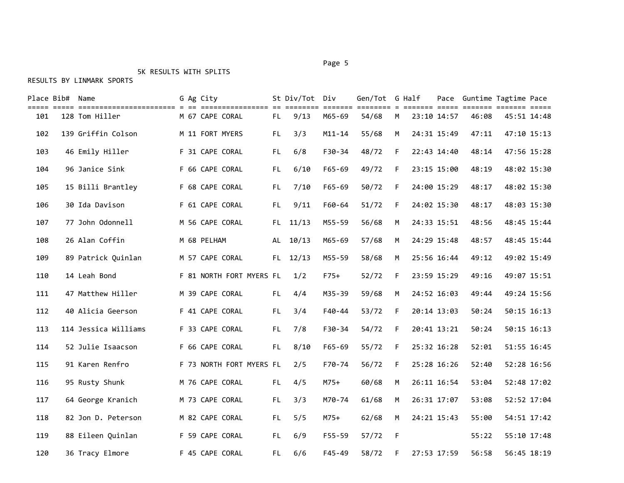#### Page 5 and 2012 and 2012 and 2012 and 2012 and 2012 and 2012 and 2012 and 2012 and 2012 and 2012 and 2012 and

## 5K RESULTS WITH SPLITS

|     | Place Bib# Name |                      | G Ag City   |                          |     | St Div/Tot Div |                         | Gen/Tot G Half |    |             | Pace Guntime Tagtime Pace |             |
|-----|-----------------|----------------------|-------------|--------------------------|-----|----------------|-------------------------|----------------|----|-------------|---------------------------|-------------|
| 101 |                 | 128 Tom Hiller       |             | M 67 CAPE CORAL          | FL. | 9/13           | <b>EEEEEE</b><br>M65-69 | 54/68          | M  | 23:10 14:57 | 46:08                     | 45:51 14:48 |
| 102 |                 | 139 Griffin Colson   |             | M 11 FORT MYERS          | FL. | 3/3            | $M11 - 14$              | 55/68          | M  | 24:31 15:49 | 47:11                     | 47:10 15:13 |
| 103 |                 | 46 Emily Hiller      |             | F 31 CAPE CORAL          | FL. | 6/8            | F30-34                  | 48/72          | F. | 22:43 14:40 | 48:14                     | 47:56 15:28 |
| 104 |                 | 96 Janice Sink       |             | F 66 CAPE CORAL          | FL. | 6/10           | $F65 - 69$              | 49/72          | F. | 23:15 15:00 | 48:19                     | 48:02 15:30 |
| 105 |                 | 15 Billi Brantley    |             | F 68 CAPE CORAL          | FL. | 7/10           | $F65 - 69$              | 50/72          | F. | 24:00 15:29 | 48:17                     | 48:02 15:30 |
| 106 |                 | 30 Ida Davison       |             | F 61 CAPE CORAL          | FL. | 9/11           | F60-64                  | 51/72          | F. | 24:02 15:30 | 48:17                     | 48:03 15:30 |
| 107 |                 | 77 John Odonnell     |             | M 56 CAPE CORAL          |     | FL 11/13       | M55-59                  | 56/68          | M  | 24:33 15:51 | 48:56                     | 48:45 15:44 |
| 108 |                 | 26 Alan Coffin       | M 68 PELHAM |                          |     | AL 10/13       | M65-69                  | 57/68          | M  | 24:29 15:48 | 48:57                     | 48:45 15:44 |
| 109 |                 | 89 Patrick Quinlan   |             | M 57 CAPE CORAL          |     | FL 12/13       | M55-59                  | 58/68          | M  | 25:56 16:44 | 49:12                     | 49:02 15:49 |
| 110 |                 | 14 Leah Bond         |             | F 81 NORTH FORT MYERS FL |     | 1/2            | $F75+$                  | 52/72          | F  | 23:59 15:29 | 49:16                     | 49:07 15:51 |
| 111 |                 | 47 Matthew Hiller    |             | M 39 CAPE CORAL          | FL. | 4/4            | M35-39                  | 59/68          | M  | 24:52 16:03 | 49:44                     | 49:24 15:56 |
| 112 |                 | 40 Alicia Geerson    |             | F 41 CAPE CORAL          | FL. | 3/4            | F40-44                  | 53/72          | F. | 20:14 13:03 | 50:24                     | 50:15 16:13 |
| 113 |                 | 114 Jessica Williams |             | F 33 CAPE CORAL          | FL. | 7/8            | F30-34                  | 54/72          | F. | 20:41 13:21 | 50:24                     | 50:15 16:13 |
| 114 |                 | 52 Julie Isaacson    |             | F 66 CAPE CORAL          | FL. | 8/10           | F65-69                  | 55/72          | F. | 25:32 16:28 | 52:01                     | 51:55 16:45 |
| 115 |                 | 91 Karen Renfro      |             | F 73 NORTH FORT MYERS FL |     | 2/5            | F70-74                  | 56/72          | F. | 25:28 16:26 | 52:40                     | 52:28 16:56 |
| 116 |                 | 95 Rusty Shunk       |             | M 76 CAPE CORAL          | FL. | 4/5            | $M75+$                  | 60/68          | M  | 26:11 16:54 | 53:04                     | 52:48 17:02 |
| 117 |                 | 64 George Kranich    |             | M 73 CAPE CORAL          | FL. | 3/3            | M70-74                  | 61/68          | м  | 26:31 17:07 | 53:08                     | 52:52 17:04 |
| 118 |                 | 82 Jon D. Peterson   |             | M 82 CAPE CORAL          | FL. | 5/5            | $M75+$                  | 62/68          | M  | 24:21 15:43 | 55:00                     | 54:51 17:42 |
| 119 |                 | 88 Eileen Quinlan    |             | F 59 CAPE CORAL          | FL. | 6/9            | $F55 - 59$              | 57/72          | F  |             | 55:22                     | 55:10 17:48 |
| 120 |                 | 36 Tracy Elmore      |             | F 45 CAPE CORAL          | FL. | 6/6            | $F45 - 49$              | 58/72          | F. | 27:53 17:59 | 56:58                     | 56:45 18:19 |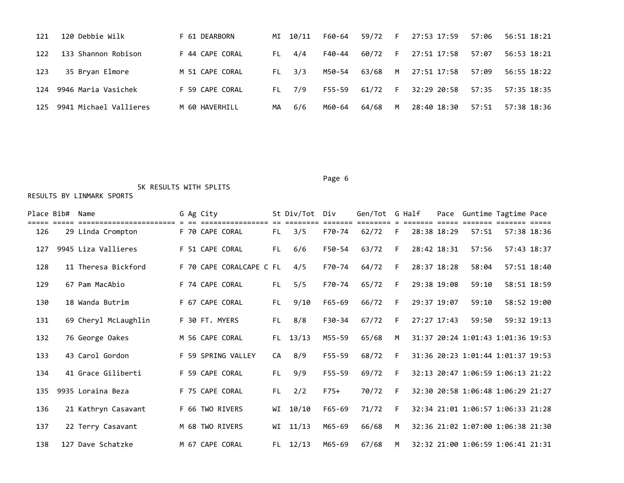| 121 | 120 Debbie Wilk        | F 61 DEARBORN   |    | MI 10/11   | F60-64 | 59/72     | - F | 27:53 17:59 | 57:06 | 56:51 18:21 |
|-----|------------------------|-----------------|----|------------|--------|-----------|-----|-------------|-------|-------------|
| 122 | 133 Shannon Robison    | F 44 CAPE CORAL |    | FL 4/4     | F40-44 | 60/72     | F   | 27:51 17:58 | 57:07 | 56:53 18:21 |
| 123 | 35 Bryan Elmore        | M 51 CAPE CORAL |    | $FL = 3/3$ | M50-54 | 63/68     | M   | 27:51 17:58 | 57:09 | 56:55 18:22 |
| 124 | 9946 Maria Vasichek    | F 59 CAPE CORAL |    | FL 7/9     | F55-59 | $61/72$ F |     | 32:29 20:58 | 57:35 | 57:35 18:35 |
| 125 | 9941 Michael Vallieres | M 60 HAVERHILL  | MA | 6/6        | M60-64 | 64/68     | M   | 28:40 18:30 | 57:51 | 57:38 18:36 |

#### Page 6 and the contract of the contract of the contract of the contract of the contract of the contract of the

## 5K RESULTS WITH SPLITS

| Place Bib# | Name                 |  | G Ag City                |     | St Div/Tot | Div        | Gen/Tot G Half |    | Pace        | Guntime Tagtime Pace              |             |             |
|------------|----------------------|--|--------------------------|-----|------------|------------|----------------|----|-------------|-----------------------------------|-------------|-------------|
| 126        | 29 Linda Crompton    |  | F 70 CAPE CORAL          | FL. | 3/5        | F70-74     | 62/72          | F. | 28:38 18:29 | 57:51                             | 57:38 18:36 |             |
| 127        | 9945 Liza Vallieres  |  | F 51 CAPE CORAL          | FL. | 6/6        | F50-54     | 63/72          | F  | 28:42 18:31 | 57:56                             |             | 57:43 18:37 |
| 128        | 11 Theresa Bickford  |  | F 70 CAPE CORALCAPE C FL |     | 4/5        | F70-74     | 64/72          | F. | 28:37 18:28 | 58:04                             |             | 57:51 18:40 |
| 129        | 67 Pam MacAbio       |  | F 74 CAPE CORAL          | FL. | 5/5        | F70-74     | 65/72          | F. | 29:38 19:08 | 59:10                             |             | 58:51 18:59 |
| 130        | 18 Wanda Butrim      |  | F 67 CAPE CORAL          | FL. | 9/10       | F65-69     | 66/72          | F. | 29:37 19:07 | 59:10                             |             | 58:52 19:00 |
| 131        | 69 Cheryl McLaughlin |  | F 30 FT. MYERS           | FL. | 8/8        | $F30-34$   | 67/72          | F. | 27:27 17:43 | 59:50                             | 59:32 19:13 |             |
| 132        | 76 George Oakes      |  | M 56 CAPE CORAL          |     | FL 13/13   | M55-59     | 65/68          | M  |             | 31:37 20:24 1:01:43 1:01:36 19:53 |             |             |
| 133        | 43 Carol Gordon      |  | F 59 SPRING VALLEY       | CA  | 8/9        | F55-59     | 68/72          | F  |             | 31:36 20:23 1:01:44 1:01:37 19:53 |             |             |
| 134        | 41 Grace Giliberti   |  | F 59 CAPE CORAL          | FL. | 9/9        | F55-59     | 69/72          | F. |             | 32:13 20:47 1:06:59 1:06:13 21:22 |             |             |
| 135        | 9935 Loraina Beza    |  | F 75 CAPE CORAL          | FL. | 2/2        | $F75+$     | 70/72          | F  |             | 32:30 20:58 1:06:48 1:06:29 21:27 |             |             |
| 136        | 21 Kathryn Casavant  |  | F 66 TWO RIVERS          | WI  | 10/10      | $F65 - 69$ | 71/72          | F. |             | 32:34 21:01 1:06:57 1:06:33 21:28 |             |             |
| 137        | 22 Terry Casavant    |  | M 68 TWO RIVERS          | WI  | 11/13      | M65-69     | 66/68          | M  |             | 32:36 21:02 1:07:00 1:06:38 21:30 |             |             |
| 138        | 127 Dave Schatzke    |  | M 67 CAPE CORAL          |     | $FL$ 12/13 | M65-69     | 67/68          | M  |             | 32:32 21:00 1:06:59 1:06:41 21:31 |             |             |